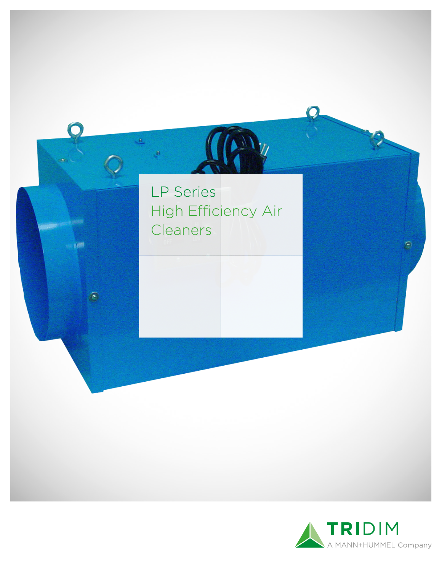

 $\mathbf{a}$ 

 $\sim 1000$ 

F

 $M_{\nu}$ 



9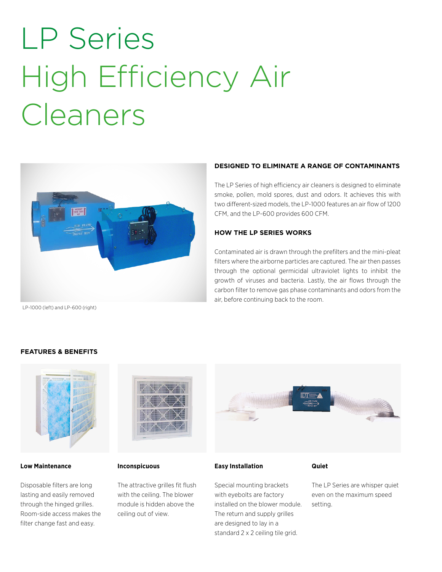# LP Series High Efficiency Air Cleaners



#### LP-1000 (left) and LP-600 (right)

### **DESIGNED TO ELIMINATE A RANGE OF CONTAMINANTS**

The LP Series of high efficiency air cleaners is designed to eliminate smoke, pollen, mold spores, dust and odors. It achieves this with two different-sized models, the LP-1000 features an air flow of 1200 CFM, and the LP-600 provides 600 CFM.

### **HOW THE LP SERIES WORKS**

Contaminated air is drawn through the prefilters and the mini-pleat filters where the airborne particles are captured. The air then passes through the optional germicidal ultraviolet lights to inhibit the growth of viruses and bacteria. Lastly, the air flows through the carbon filter to remove gas phase contaminants and odors from the air, before continuing back to the room.

### **FEATURES & BENEFITS**



### **Low Maintenance**

Disposable filters are long lasting and easily removed through the hinged grilles. Room-side access makes the filter change fast and easy.



### **Inconspicuous**

The attractive grilles fit flush with the ceiling. The blower module is hidden above the ceiling out of view.



### **Easy Installation**

### Special mounting brackets with eyebolts are factory installed on the blower module. The return and supply grilles are designed to lay in a standard 2 x 2 ceiling tile grid.

**Quiet**

The LP Series are whisper quiet even on the maximum speed setting.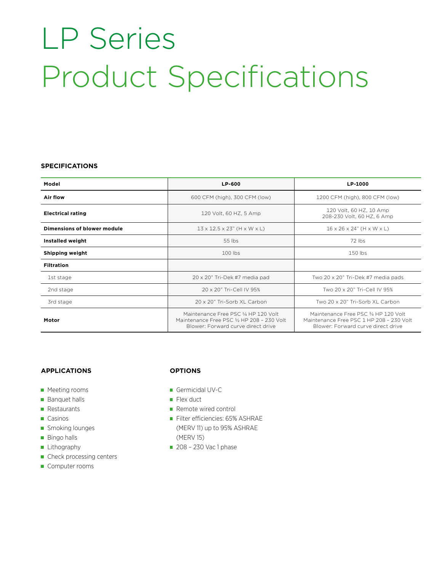## LP Series Product Specifications

### **SPECIFICATIONS**

| Model                       | LP-600                                                                                                                   | LP-1000                                                                                                                |
|-----------------------------|--------------------------------------------------------------------------------------------------------------------------|------------------------------------------------------------------------------------------------------------------------|
| Air flow                    | 600 CFM (high), 300 CFM (low)                                                                                            | 1200 CFM (high), 800 CFM (low)                                                                                         |
| <b>Electrical rating</b>    | 120 Volt, 60 HZ, 5 Amp                                                                                                   | 120 Volt, 60 HZ, 10 Amp<br>208-230 Volt, 60 HZ, 6 Amp                                                                  |
| Dimensions of blower module | $13 \times 12.5 \times 23$ " (H $\times$ W $\times$ L)                                                                   | $16 \times 26 \times 24$ " (H $\times$ W $\times$ L)                                                                   |
| Installed weight            | 55 lbs                                                                                                                   | 72 lbs                                                                                                                 |
| Shipping weight             | $100$ lbs                                                                                                                | 150 lbs                                                                                                                |
| <b>Filtration</b>           |                                                                                                                          |                                                                                                                        |
| 1st stage                   | 20 x 20" Tri-Dek #7 media pad                                                                                            | Two 20 x 20" Tri-Dek #7 media pads                                                                                     |
| 2nd stage                   | 20 x 20" Tri-Cell IV 95%                                                                                                 | Two 20 x 20" Tri-Cell IV 95%                                                                                           |
| 3rd stage                   | 20 x 20" Tri-Sorb XL Carbon                                                                                              | Two 20 x 20" Tri-Sorb XL Carbon                                                                                        |
| Motor                       | Maintenance Free PSC 1/4 HP 120 Volt<br>Maintenance Free PSC 1/2 HP 208 - 230 Volt<br>Blower: Forward curve direct drive | Maintenance Free PSC 3/4 HP 120 Volt<br>Maintenance Free PSC 1 HP 208 - 230 Volt<br>Blower: Forward curve direct drive |

### **APPLICATIONS**

- **Meeting rooms**
- **Banquet halls**
- **Restaurants**
- Casinos
- **Smoking lounges**
- **Bingo halls**
- **Lithography**
- Check processing centers

### Computer rooms

### **OPTIONS**

- Germicidal UV-C
- $\blacksquare$  Flex duct
- Remote wired control
- Filter efficiencies: 65% ASHRAE (MERV 11) up to 95% ASHRAE (MERV 15)
- 208 230 Vac 1 phase